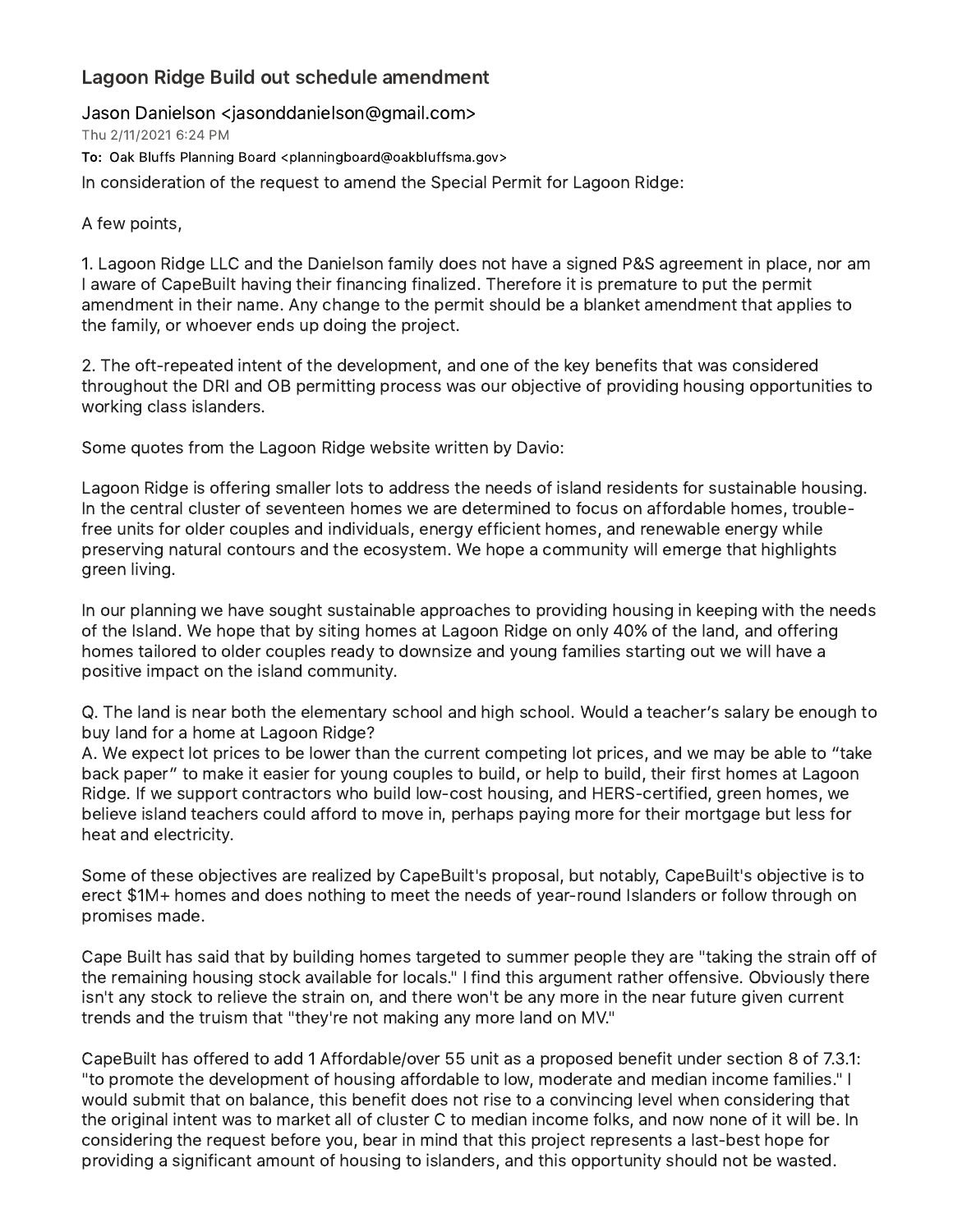## Lagoon Ridge Build out schedule amendment

Jason Danielson <jasonddanielson@gmail.com>

Thu 2/11/2021 6:24 PM

To: Oak Bluffs Planning Board <planningboard@oakbluffsma.gov>

In consideration of the request to amend the Special Permit for Lagoon Ridge:

## A few points,

1. Lagoon Ridge LLC and the Danielson family does not have a signed P&S agreement in place, nor am I aware of CapeBuilt having their financing finalized. Therefore it is premature to put the permit amendment in their name. Any change to the permit should be a blanket amendment that applies to the family, or whoever ends up doing the project.

2. The oft-repeated intent of the development, and one of the key benefits that was considered throughout the DRI and OB permitting process was our objective of providing housing opportunities to working class islanders.

Some quotes from the Lagoon Ridge website written by Davio:

Lagoon Ridge is offering smaller lots to address the needs of island residents for sustainable housing. In the central cluster of seventeen homes we are determined to focus on affordable homes, troublefree units for older couples and individuals, energy efficient homes, and renewable energy while preserving natural contours and the ecosystem. We hope a community will emerge that highlights green living.

In our planning we have sought sustainable approaches to providing housing in keeping with the needs of the Island. We hope that by siting homes at Lagoon Ridge on only 40% of the land, and offering homes tailored to older couples ready to downsize and young families starting out we will have a positive impact on the island community.

Q. The land is near both the elementary school and high school. Would a teacher's salary be enough to buy land for a home at Lagoon Ridge?

A. We expect lot prices to be lower than the current competing lot prices, and we may be able to "take back paper" to make it easier for young couples to build, or help to build, their first homes at Lagoon Ridge. If we support contractors who build low-cost housing, and HERS-certified, green homes, we believe island teachers could afford to move in, perhaps paying more for their mortgage but less for heat and electricity.

Some of these objectives are realized by CapeBuilt's proposal, but notably, CapeBuilt's objective is to erect \$1M+ homes and does nothing to meet the needs of year-round Islanders or follow through on promises made.

Cape Built has said that by building homes targeted to summer people they are "taking the strain off of the remaining housing stock available for locals." I find this argument rather offensive. Obviously there isn't any stock to relieve the strain on, and there won't be any more in the near future given current trends and the truism that "they're not making any more land on MV."

CapeBuilt has offered to add 1 Affordable/over 55 unit as a proposed benefit under section 8 of 7.3.1: "to promote the development of housing affordable to low, moderate and median income families." I would submit that on balance, this benefit does not rise to a convincing level when considering that the original intent was to market all of cluster C to median income folks, and now none of it will be. In considering the request before you, bear in mind that this project represents a last-best hope for providing a significant amount of housing to islanders, and this opportunity should not be wasted.